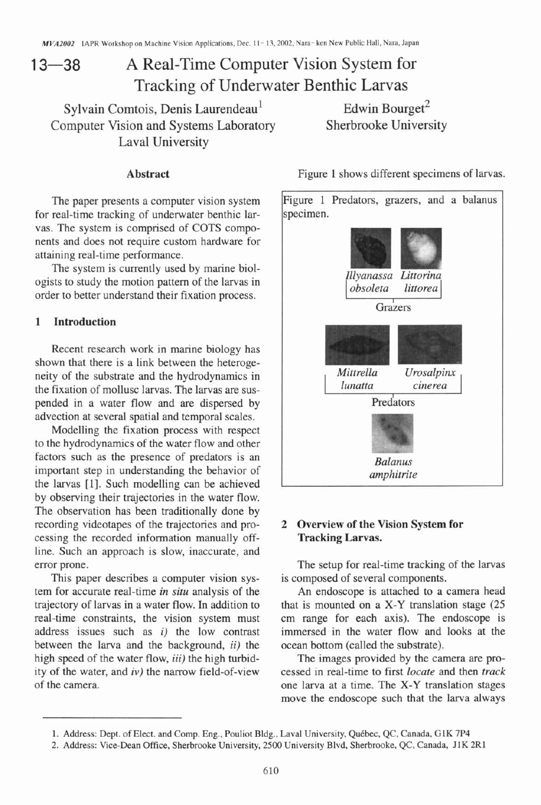# 13—38 A Real-Time Computer Vision System for Tracking of Underwater Benthic Larvas

Sylvain Comtois, Denis Laurendeau<sup>1</sup> Edwin Bourget<sup>2</sup><br>
Sherbrooke University **Edwin Edwin Edwin Edwin Edwin Edwin Edwin Edwin Edwin Edwin Edwin Edwin Edwin Edwin Edwin Edwin Edwin Edwin Edwin Edwin Edwin Edwin Edwin Edwin** Computer Vision and Systems Laboratory Laval University

The paper presents a computer vision system for real-time tracking of underwater benthic larvas. The system is comprised of COTS components and does not require custom hardware for attaining real-time performance.

The system is currently used by marine biologists to study the motion pattern of the larvas in order to better understand their fixation process.

### **1 Introduction**

Recent research work in marine biology has shown that there is a link between the heterogeneity of the substrate and the hydrodynamics in the fixation of mollusc larvas. The larvas are suspended in a water flow and are dispersed by advection at several spatial and temporal scales.

Modelling the fixation process with respect to the hydrodynamics of the water flow and other factors such as the presence of predators is an important step in understanding the behavior of the larvas [I]. Such modelling can be achieved by observing their trajectories in the water flow. The observation has been traditionally done by recording videotapes of the trajectories and processing the recorded information manually offline. Such an approach is slow, inaccurate, and error prone.

This paper describes a computer vision system for accurate real-time **in** *situ* analysis of the trajectory of larvas in a water flow. In addition to real-time constraints, the vision system must address issues such as **i)** the low contrast between the larva and the background, **ii)** the high speed of the water flow, **iii)** the high turbidity of the water, and **iv)** the narrow field-of-view of the camera.



# **2 Overview of the Vision System for Tracking Larvas.**

The setup for real-time tracking of the larvas is composed of several components.

An endoscope is attached to a camera head that is mounted on a X-Y translation stage (25 cm range for each axis). The endoscope is immersed in the water flow and looks at the ocean bottom (called the substrate).

The images provided by the camera are processed in real-time to first *locate* and then *track*  one larva at a time. The X-Y translation stages move the endoscope such that the larva always

<sup>1.</sup> Address: Dept. of Elect. and Comp. Eng., Pouliot Bldg., Laval University, Quebec, QC, Canada, **G1K** 7P4

**<sup>2.</sup>** Address: Vice-Dean Office, Sherbrooke University, **2500** University Blvd, Sherbrooke, QC, Canada, J1K **2RI**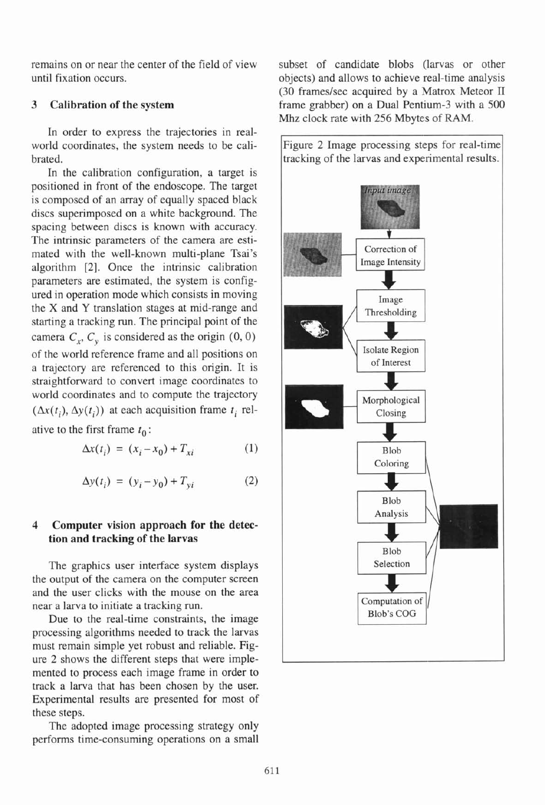remains on or near the center of the field of view subset of candidate blobs (larvas or other until fixation occurs. objects) and allows to achieve real-time analysis

In order to express the trajectories in realworld coordinates, the system needs to be calibrated.

In the calibration configuration, a target is positioned in front of the endoscope. The target is composed of an array of equally spaced black discs superimposed on a white background. The spacing between discs is known with accuracy. The intrinsic parameters of the camera are estimated with the well-known multi-plane Tsai's algorithm **[Z].** Once the intrinsic calibration parameters are estimated, the system is configured in operation mode which consists in moving the X and Y translation stages at mid-range and starting a tracking run. The principal point of the camera  $C_x$ ,  $C_y$  is considered as the origin (0, 0) of the world reference frame and all positions on a trajectory are referenced to this origin. It is straightforward to convert image coordinates to world coordinates and to compute the trajectory  $(\Delta x(t_i), \Delta y(t_i))$  at each acquisition frame  $t_i$  relative to the first frame  $t_0$ :

$$
\Delta x(t_i) = (x_i - x_0) + T_{xi}
$$
 (1)

$$
\Delta y(t_i) = (y_i - y_0) + T_{yi}
$$
 (2)

# **4 Computer vision approach for the detection and tracking of the larvas**

The graphics user interface system displays the output of the camera on the computer screen and the user clicks with the mouse on the area near a larva to initiate a tracking run.

Due to the real-time constraints, the image processing algorithms needed to track the larvas must remain simple yet robust and reliable. Figure 2 shows the different steps that were implemented to process each image frame in order to track a larva that has been chosen by the user. Experimental results are presented for most of these steps.

The adopted image processing strategy only performs time-consuming operations on a small

(30 frames/sec acquired by a Matrox Meteor II **3 Calibration of the system** frame grabber) on a Dual Pentium-3 with a 500 **Mhz** clock rate with 256 Mbytes of RAM.